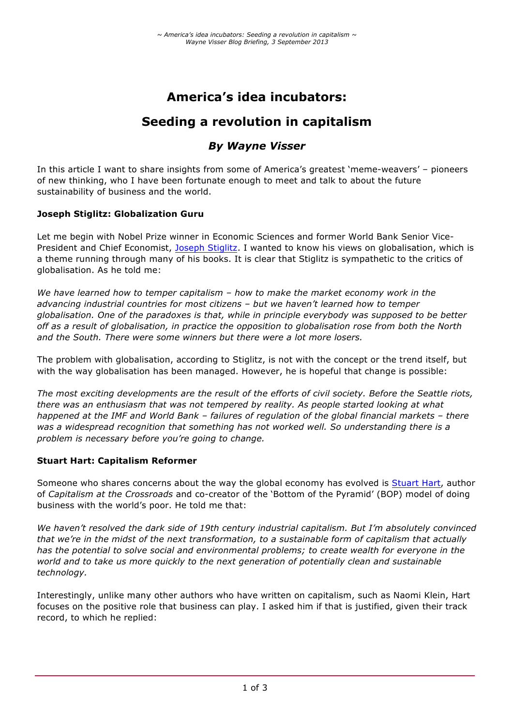# **America's idea incubators:**

# **Seeding a revolution in capitalism**

# *By Wayne Visser*

In this article I want to share insights from some of America's greatest 'meme-weavers' – pioneers of new thinking, who I have been fortunate enough to meet and talk to about the future sustainability of business and the world.

## **Joseph Stiglitz: Globalization Guru**

Let me begin with Nobel Prize winner in Economic Sciences and former World Bank Senior Vice-President and Chief Economist, Joseph Stiglitz. I wanted to know his views on globalisation, which is a theme running through many of his books. It is clear that Stiglitz is sympathetic to the critics of globalisation. As he told me:

*We have learned how to temper capitalism – how to make the market economy work in the advancing industrial countries for most citizens – but we haven't learned how to temper globalisation. One of the paradoxes is that, while in principle everybody was supposed to be better off as a result of globalisation, in practice the opposition to globalisation rose from both the North and the South. There were some winners but there were a lot more losers.*

The problem with globalisation, according to Stiglitz, is not with the concept or the trend itself, but with the way globalisation has been managed. However, he is hopeful that change is possible:

*The most exciting developments are the result of the efforts of civil society. Before the Seattle riots, there was an enthusiasm that was not tempered by reality. As people started looking at what happened at the IMF and World Bank – failures of regulation of the global financial markets – there was a widespread recognition that something has not worked well. So understanding there is a problem is necessary before you're going to change.*

#### **Stuart Hart: Capitalism Reformer**

Someone who shares concerns about the way the global economy has evolved is Stuart Hart, author of *Capitalism at the Crossroads* and co-creator of the 'Bottom of the Pyramid' (BOP) model of doing business with the world's poor. He told me that:

*We haven't resolved the dark side of 19th century industrial capitalism. But I'm absolutely convinced that we're in the midst of the next transformation, to a sustainable form of capitalism that actually has the potential to solve social and environmental problems; to create wealth for everyone in the world and to take us more quickly to the next generation of potentially clean and sustainable technology.*

Interestingly, unlike many other authors who have written on capitalism, such as Naomi Klein, Hart focuses on the positive role that business can play. I asked him if that is justified, given their track record, to which he replied: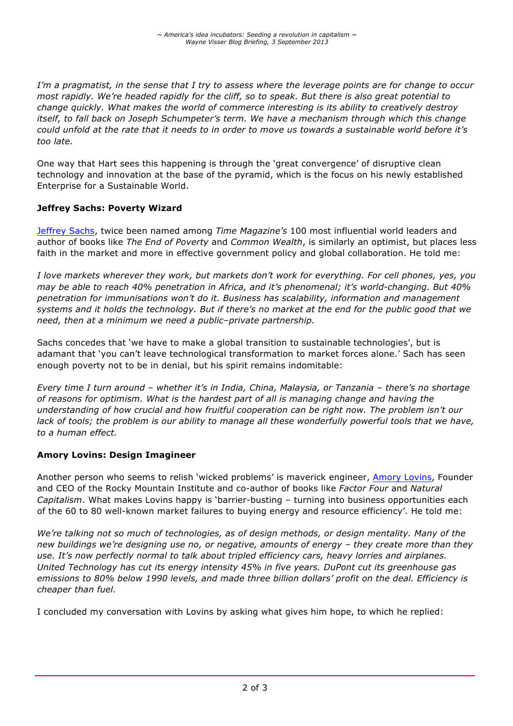*I'm a pragmatist, in the sense that I try to assess where the leverage points are for change to occur most rapidly. We're headed rapidly for the cliff, so to speak. But there is also great potential to change quickly. What makes the world of commerce interesting is its ability to creatively destroy itself, to fall back on Joseph Schumpeter's term. We have a mechanism through which this change could unfold at the rate that it needs to in order to move us towards a sustainable world before it's too late.*

One way that Hart sees this happening is through the 'great convergence' of disruptive clean technology and innovation at the base of the pyramid, which is the focus on his newly established Enterprise for a Sustainable World.

## **Jeffrey Sachs: Poverty Wizard**

Jeffrey Sachs, twice been named among *Time Magazine's* 100 most influential world leaders and author of books like *The End of Poverty* and *Common Wealth*, is similarly an optimist, but places less faith in the market and more in effective government policy and global collaboration. He told me:

*I love markets wherever they work, but markets don't work for everything. For cell phones, yes, you may be able to reach 40% penetration in Africa, and it's phenomenal; it's world-changing. But 40% penetration for immunisations won't do it. Business has scalability, information and management systems and it holds the technology. But if there's no market at the end for the public good that we need, then at a minimum we need a public–private partnership.*

Sachs concedes that 'we have to make a global transition to sustainable technologies', but is adamant that 'you can't leave technological transformation to market forces alone.' Sach has seen enough poverty not to be in denial, but his spirit remains indomitable:

*Every time I turn around – whether it's in India, China, Malaysia, or Tanzania – there's no shortage of reasons for optimism. What is the hardest part of all is managing change and having the understanding of how crucial and how fruitful cooperation can be right now. The problem isn't our*  lack of tools; the problem is our ability to manage all these wonderfully powerful tools that we have, *to a human effect.*

## **Amory Lovins: Design Imagineer**

Another person who seems to relish 'wicked problems' is maverick engineer, Amory Lovins, Founder and CEO of the Rocky Mountain Institute and co-author of books like *Factor Four* and *Natural Capitalism*. What makes Lovins happy is 'barrier-busting – turning into business opportunities each of the 60 to 80 well-known market failures to buying energy and resource efficiency'. He told me:

*We're talking not so much of technologies, as of design methods, or design mentality. Many of the new buildings we're designing use no, or negative, amounts of energy – they create more than they use. It's now perfectly normal to talk about tripled efficiency cars, heavy lorries and airplanes. United Technology has cut its energy intensity 45% in five years. DuPont cut its greenhouse gas emissions to 80% below 1990 levels, and made three billion dollars' profit on the deal. Efficiency is cheaper than fuel.*

I concluded my conversation with Lovins by asking what gives him hope, to which he replied: